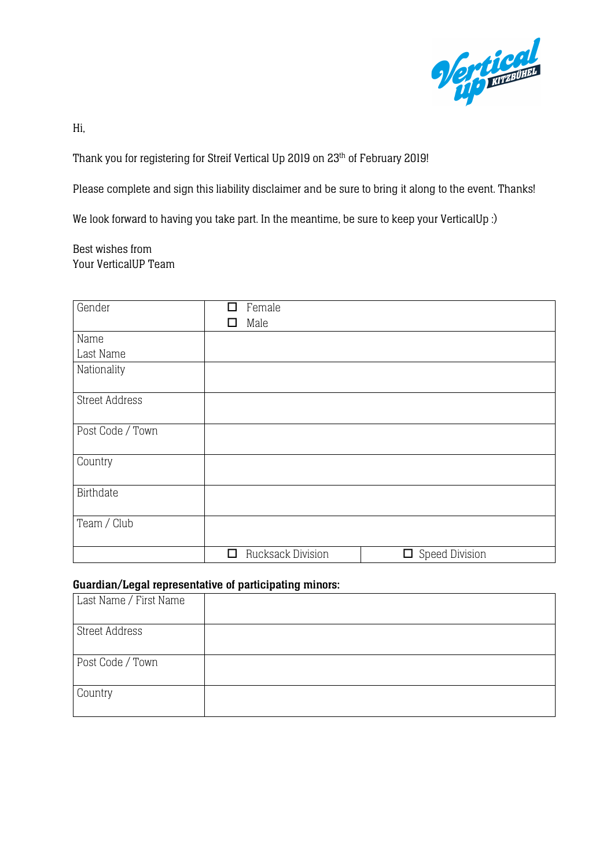

Hi,

Thank you for registering for Streif Vertical Up 2019 on 23<sup>th</sup> of February 2019!

Please complete and sign this liability disclaimer and be sure to bring it along to the event. Thanks!

We look forward to having you take part. In the meantime, be sure to keep your VerticalUp :)

Best wishes from Your VerticalUP Team

| Gender                | П  | Female                   |                       |
|-----------------------|----|--------------------------|-----------------------|
|                       | ΙI | Male                     |                       |
| Name                  |    |                          |                       |
| Last Name             |    |                          |                       |
| Nationality           |    |                          |                       |
| <b>Street Address</b> |    |                          |                       |
| Post Code / Town      |    |                          |                       |
| Country               |    |                          |                       |
| Birthdate             |    |                          |                       |
| Team / Club           |    |                          |                       |
|                       | □  | <b>Rucksack Division</b> | $\Box$ Speed Division |

## Guardian/Legal representative of participating minors:

| Last Name / First Name |  |
|------------------------|--|
| <b>Street Address</b>  |  |
| Post Code / Town       |  |
| Country                |  |